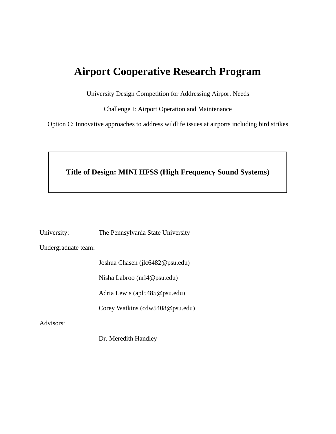# **Airport Cooperative Research Program**

University Design Competition for Addressing Airport Needs

Challenge I: Airport Operation and Maintenance

Option C: Innovative approaches to address wildlife issues at airports including bird strikes

## **Title of Design: MINI HFSS (High Frequency Sound Systems)**

University: The Pennsylvania State University

Undergraduate team:

Joshua Chasen (jlc6482@psu.edu)

Nisha Labroo (nrl4@psu.edu)

Adria Lewis (apl5485@psu.edu)

Corey Watkins (cdw5408@psu.edu)

Advisors:

Dr. Meredith Handley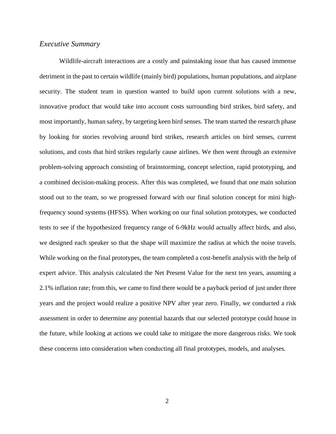## *Executive Summary*

Wildlife-aircraft interactions are a costly and painstaking issue that has caused immense detriment in the past to certain wildlife (mainly bird) populations, human populations, and airplane security. The student team in question wanted to build upon current solutions with a new, innovative product that would take into account costs surrounding bird strikes, bird safety, and most importantly, human safety, by targeting keen bird senses. The team started the research phase by looking for stories revolving around bird strikes, research articles on bird senses, current solutions, and costs that bird strikes regularly cause airlines. We then went through an extensive problem-solving approach consisting of brainstorming, concept selection, rapid prototyping, and a combined decision-making process. After this was completed, we found that one main solution stood out to the team, so we progressed forward with our final solution concept for mini highfrequency sound systems (HFSS). When working on our final solution prototypes, we conducted tests to see if the hypothesized frequency range of 6-9kHz would actually affect birds, and also, we designed each speaker so that the shape will maximize the radius at which the noise travels. While working on the final prototypes, the team completed a cost-benefit analysis with the help of expert advice. This analysis calculated the Net Present Value for the next ten years, assuming a 2.1% inflation rate; from this, we came to find there would be a payback period of just under three years and the project would realize a positive NPV after year zero. Finally, we conducted a risk assessment in order to determine any potential hazards that our selected prototype could house in the future, while looking at actions we could take to mitigate the more dangerous risks. We took these concerns into consideration when conducting all final prototypes, models, and analyses.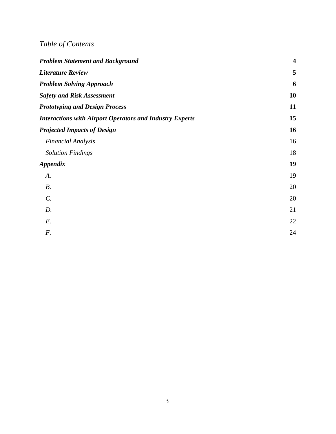# *Table of Contents*

| <b>Problem Statement and Background</b>                         | $\overline{\mathbf{4}}$ |
|-----------------------------------------------------------------|-------------------------|
| <b>Literature Review</b>                                        | 5                       |
| <b>Problem Solving Approach</b>                                 | 6                       |
| <b>Safety and Risk Assessment</b>                               | 10                      |
| <b>Prototyping and Design Process</b>                           | 11                      |
| <b>Interactions with Airport Operators and Industry Experts</b> | 15                      |
| <b>Projected Impacts of Design</b>                              | 16                      |
| <b>Financial Analysis</b>                                       | 16                      |
| <b>Solution Findings</b>                                        | 18                      |
| <b>Appendix</b>                                                 | 19                      |
| A.                                                              | 19                      |
| $B$ .                                                           | 20                      |
| $\mathcal{C}$ .                                                 | 20                      |
| D.                                                              | 21                      |
| E.                                                              | 22                      |
| $F$ .                                                           | 24                      |
|                                                                 |                         |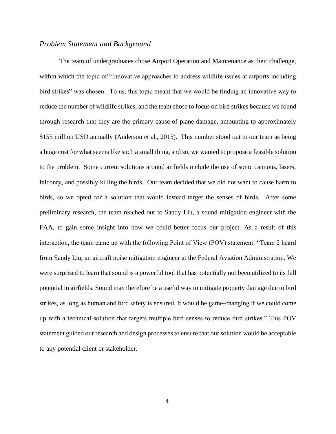#### <span id="page-3-0"></span>*Problem Statement and Background*

The team of undergraduates chose Airport Operation and Maintenance as their challenge, within which the topic of "Innovative approaches to address wildlife issues at airports including bird strikes" was chosen. To us, this topic meant that we would be finding an innovative way to reduce the number of wildlife strikes, and the team chose to focus on bird strikes because we found through research that they are the primary cause of plane damage, amounting to approximately \$155 million USD annually (Anderson et al., 2015). This number stood out to our team as being a huge cost for what seems like such a small thing, and so, we wanted to propose a feasible solution to the problem. Some current solutions around airfields include the use of sonic cannons, lasers, falconry, and possibly killing the birds. Our team decided that we did not want to cause harm to birds, so we opted for a solution that would instead target the senses of birds. After some preliminary research, the team reached out to Sandy Liu, a sound mitigation engineer with the FAA, to gain some insight into how we could better focus our project. As a result of this interaction, the team came up with the following Point of View (POV) statement: "Team 2 heard from Sandy Liu, an aircraft noise mitigation engineer at the Federal Aviation Administration. We were surprised to learn that sound is a powerful tool that has potentially not been utilized to its full potential in airfields. Sound may therefore be a useful way to mitigate property damage due to bird strikes, as long as human and bird safety is ensured. It would be game-changing if we could come up with a technical solution that targets multiple bird senses to reduce bird strikes." This POV statement guided our research and design processes to ensure that our solution would be acceptable to any potential client or stakeholder.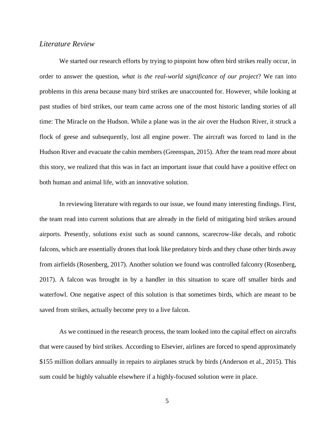#### <span id="page-4-0"></span>*Literature Review*

We started our research efforts by trying to pinpoint how often bird strikes really occur, in order to answer the question, *what is the real-world significance of our project*? We ran into problems in this arena because many bird strikes are unaccounted for. However, while looking at past studies of bird strikes, our team came across one of the most historic landing stories of all time: The Miracle on the Hudson. While a plane was in the air over the Hudson River, it struck a flock of geese and subsequently, lost all engine power. The aircraft was forced to land in the Hudson River and evacuate the cabin members (Greenspan, 2015). After the team read more about this story, we realized that this was in fact an important issue that could have a positive effect on both human and animal life, with an innovative solution.

In reviewing literature with regards to our issue, we found many interesting findings. First, the team read into current solutions that are already in the field of mitigating bird strikes around airports. Presently, solutions exist such as sound cannons, scarecrow-like decals, and robotic falcons, which are essentially drones that look like predatory birds and they chase other birds away from airfields (Rosenberg, 2017). Another solution we found was controlled falconry (Rosenberg, 2017). A falcon was brought in by a handler in this situation to scare off smaller birds and waterfowl. One negative aspect of this solution is that sometimes birds, which are meant to be saved from strikes, actually become prey to a live falcon.

As we continued in the research process, the team looked into the capital effect on aircrafts that were caused by bird strikes. According to Elsevier, airlines are forced to spend approximately \$155 million dollars annually in repairs to airplanes struck by birds (Anderson et al., 2015). This sum could be highly valuable elsewhere if a highly-focused solution were in place.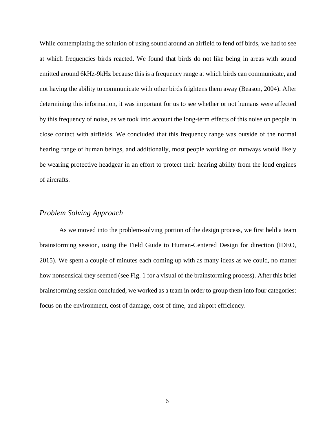While contemplating the solution of using sound around an airfield to fend off birds, we had to see at which frequencies birds reacted. We found that birds do not like being in areas with sound emitted around 6kHz-9kHz because this is a frequency range at which birds can communicate, and not having the ability to communicate with other birds frightens them away (Beason, 2004). After determining this information, it was important for us to see whether or not humans were affected by this frequency of noise, as we took into account the long-term effects of this noise on people in close contact with airfields. We concluded that this frequency range was outside of the normal hearing range of human beings, and additionally, most people working on runways would likely be wearing protective headgear in an effort to protect their hearing ability from the loud engines of aircrafts.

#### <span id="page-5-0"></span>*Problem Solving Approach*

As we moved into the problem-solving portion of the design process, we first held a team brainstorming session, using the Field Guide to Human-Centered Design for direction (IDEO, 2015). We spent a couple of minutes each coming up with as many ideas as we could, no matter how nonsensical they seemed (see Fig. 1 for a visual of the brainstorming process). After this brief brainstorming session concluded, we worked as a team in order to group them into four categories: focus on the environment, cost of damage, cost of time, and airport efficiency.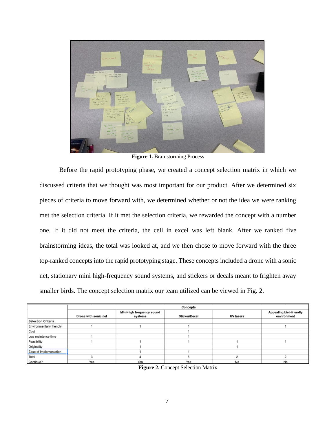

**Figure 1.** Brainstorming Process

Before the rapid prototyping phase, we created a concept selection matrix in which we discussed criteria that we thought was most important for our product. After we determined six pieces of criteria to move forward with, we determined whether or not the idea we were ranking met the selection criteria. If it met the selection criteria, we rewarded the concept with a number one. If it did not meet the criteria, the cell in excel was left blank. After we ranked five brainstorming ideas, the total was looked at, and we then chose to move forward with the three top-ranked concepts into the rapid prototyping stage. These concepts included a drone with a sonic net, stationary mini high-frequency sound systems, and stickers or decals meant to frighten away smaller birds. The concept selection matrix our team utilized can be viewed in Fig. 2.

|                           | <b>Concepts</b>      |                                      |                      |                  |                                               |  |
|---------------------------|----------------------|--------------------------------------|----------------------|------------------|-----------------------------------------------|--|
|                           | Drone with sonic net | Mini-high frequency sound<br>systems | <b>Sticker/Decal</b> | <b>UV lasers</b> | <b>Appealing bird-friendly</b><br>environment |  |
| <b>Selection Criteria</b> |                      |                                      |                      |                  |                                               |  |
| Environmentally friendly  |                      |                                      |                      |                  |                                               |  |
| Cost                      |                      |                                      |                      |                  |                                               |  |
| Low maintence time        |                      |                                      |                      |                  |                                               |  |
| Feasibility               |                      |                                      |                      |                  |                                               |  |
| Originality               |                      |                                      |                      |                  |                                               |  |
| Ease of Implementation    |                      |                                      |                      |                  |                                               |  |
| Total                     |                      |                                      |                      |                  |                                               |  |
| Continue?                 | Yes                  | Yes                                  | Yes                  | No               | No                                            |  |

**Figure 2.** Concept Selection Matrix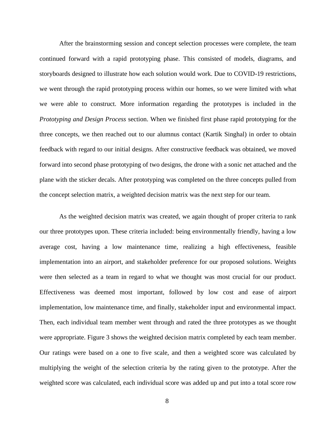After the brainstorming session and concept selection processes were complete, the team continued forward with a rapid prototyping phase. This consisted of models, diagrams, and storyboards designed to illustrate how each solution would work. Due to COVID-19 restrictions, we went through the rapid prototyping process within our homes, so we were limited with what we were able to construct. More information regarding the prototypes is included in the *Prototyping and Design Process* section. When we finished first phase rapid prototyping for the three concepts, we then reached out to our alumnus contact (Kartik Singhal) in order to obtain feedback with regard to our initial designs. After constructive feedback was obtained, we moved forward into second phase prototyping of two designs, the drone with a sonic net attached and the plane with the sticker decals. After prototyping was completed on the three concepts pulled from the concept selection matrix, a weighted decision matrix was the next step for our team.

As the weighted decision matrix was created, we again thought of proper criteria to rank our three prototypes upon. These criteria included: being environmentally friendly, having a low average cost, having a low maintenance time, realizing a high effectiveness, feasible implementation into an airport, and stakeholder preference for our proposed solutions. Weights were then selected as a team in regard to what we thought was most crucial for our product. Effectiveness was deemed most important, followed by low cost and ease of airport implementation, low maintenance time, and finally, stakeholder input and environmental impact. Then, each individual team member went through and rated the three prototypes as we thought were appropriate. Figure 3 shows the weighted decision matrix completed by each team member. Our ratings were based on a one to five scale, and then a weighted score was calculated by multiplying the weight of the selection criteria by the rating given to the prototype. After the weighted score was calculated, each individual score was added up and put into a total score row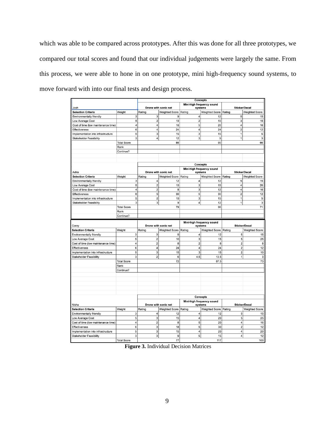which was able to be compared across prototypes. After this was done for all three prototypes, we compared our total scores and found that our individual judgements were largely the same. From this process, we were able to hone in on one prototype, mini high-frequency sound systems, to move forward with into our final tests and design process.

|                                     |                         | <b>Concepts</b>                                              |                       |                         |                                      |                         |                                                                                                                                   |  |
|-------------------------------------|-------------------------|--------------------------------------------------------------|-----------------------|-------------------------|--------------------------------------|-------------------------|-----------------------------------------------------------------------------------------------------------------------------------|--|
|                                     |                         | Mini-high frequency sound<br>Drone with sonic net<br>systems |                       |                         | <b>Sticker/Decal</b>                 |                         |                                                                                                                                   |  |
| Josh                                |                         |                                                              |                       |                         |                                      |                         |                                                                                                                                   |  |
| <b>Selection Criteria</b>           | Weight                  | Rating                                                       | <b>Weighted Score</b> | Rating                  | <b>Weighted Score</b>                | Rating                  | <b>Weighted Score</b>                                                                                                             |  |
| Environmentally friendly            | 3                       | 3                                                            | 9                     | 4                       | 12                                   | 5                       | 15                                                                                                                                |  |
| Low Average Cost                    | 5                       | $\overline{\mathbf{c}}$                                      | 10                    | $\overline{\mathbf{c}}$ | 10                                   | 3                       | 15                                                                                                                                |  |
| Cost of time (low maintenance time) | 4                       | 4                                                            | 16                    | 5                       | 20                                   | 4                       | 16                                                                                                                                |  |
| Effectiveness                       | 6                       | $\overline{4}$                                               | 24                    | 4                       | 24                                   | $\overline{2}$          | 12                                                                                                                                |  |
| Implementation into infrastructure  | 5                       | 3                                                            | 15                    | 3                       | 15                                   | 1                       | 5                                                                                                                                 |  |
| <b>Stakeholder Feasibility</b>      | 3                       | 4                                                            | 12                    | 3                       | 9                                    | 1                       | 3                                                                                                                                 |  |
|                                     | <b>Total Score</b>      |                                                              | 86                    |                         | 90                                   |                         | 66                                                                                                                                |  |
|                                     | Rank                    |                                                              |                       |                         |                                      |                         |                                                                                                                                   |  |
|                                     | Continue?               |                                                              |                       |                         |                                      |                         |                                                                                                                                   |  |
|                                     |                         |                                                              |                       |                         |                                      |                         |                                                                                                                                   |  |
|                                     |                         |                                                              |                       |                         |                                      |                         |                                                                                                                                   |  |
|                                     |                         |                                                              |                       |                         | Concepts                             |                         |                                                                                                                                   |  |
| Adria                               |                         |                                                              | Drone with sonic net  |                         | Mini-high frequency sound<br>systems | <b>Sticker/Decal</b>    |                                                                                                                                   |  |
| <b>Selection Criteria</b>           | Weight                  | Rating                                                       | <b>Weighted Score</b> | Rating                  | <b>Weighted Score</b>                | Rating                  | <b>Weighted Score</b>                                                                                                             |  |
| Environmentally friendly            | 3                       | 4                                                            | 12                    | 4                       | 12                                   | 5                       | 15                                                                                                                                |  |
| Low Average Cost                    | 5                       | $\overline{c}$                                               | 10                    | 3                       | 15                                   | 4                       | 20                                                                                                                                |  |
| Cost of time (low maintenance time) | 4                       | $\overline{2}$                                               | 8                     | 3                       | 12                                   | 4                       | 16                                                                                                                                |  |
| Effectiveness                       | 6                       | 5                                                            | 30                    | 5                       | 30                                   | 2                       | 12                                                                                                                                |  |
| Implementation into infrastructure  | 5                       | $\overline{c}$                                               | 10                    | 3                       | 15                                   | 1                       | 5                                                                                                                                 |  |
| <b>Stakeholder Feasibility</b>      | 3                       | 3                                                            | 9                     | 4                       | 12                                   | 1                       | 3                                                                                                                                 |  |
|                                     | <b>Total Score</b>      |                                                              | 79                    |                         | 96                                   |                         | 71                                                                                                                                |  |
|                                     | Rank                    |                                                              |                       |                         |                                      |                         |                                                                                                                                   |  |
|                                     | Continue?               |                                                              |                       |                         |                                      |                         |                                                                                                                                   |  |
|                                     |                         |                                                              |                       |                         |                                      |                         |                                                                                                                                   |  |
|                                     |                         |                                                              |                       |                         |                                      |                         |                                                                                                                                   |  |
|                                     |                         |                                                              |                       |                         | Mini-high frequency sound            |                         |                                                                                                                                   |  |
| Corey                               |                         |                                                              | Drone with sonic net  |                         | systems                              |                         | <b>Sticker/Decal</b>                                                                                                              |  |
| <b>Selection Criteria</b>           | Weight                  | Rating                                                       | <b>Weighted Score</b> | Rating                  | <b>Weighted Score</b>                | Rating                  |                                                                                                                                   |  |
| Environmentally friendly            | 3                       | 3                                                            | 9                     | 4                       | 12                                   | 5                       |                                                                                                                                   |  |
| Low Average Cost                    | 5                       | $\mathbf 2$                                                  | 10                    | 3                       | 15                                   | 5                       |                                                                                                                                   |  |
| Cost of time (low maintenance time) | 4                       | $\overline{\mathbf{c}}$                                      | 8                     | $\overline{2}$          | 8                                    | $\overline{\mathbf{2}}$ |                                                                                                                                   |  |
| <b>Effectiveness</b>                | 6                       | $\overline{4}$                                               | 24                    | 4                       | 24                                   | $\overline{\mathbf{c}}$ |                                                                                                                                   |  |
| Implementation into infrastructure  | 5                       | 3                                                            | 15                    | 3                       | 15                                   | $\overline{2}$          |                                                                                                                                   |  |
| Stakeholder Feasibility             | 3                       | $\overline{2}$                                               | 6                     | 4.5                     | 13.5                                 | $\mathbf{1}$            |                                                                                                                                   |  |
|                                     | <b>Total Score</b>      |                                                              | 72                    |                         | 87.5                                 |                         |                                                                                                                                   |  |
|                                     | Rank                    |                                                              |                       |                         |                                      |                         |                                                                                                                                   |  |
|                                     | Continue?               |                                                              |                       |                         |                                      |                         |                                                                                                                                   |  |
|                                     |                         |                                                              |                       |                         |                                      |                         |                                                                                                                                   |  |
|                                     |                         |                                                              |                       |                         |                                      |                         |                                                                                                                                   |  |
|                                     |                         |                                                              |                       |                         |                                      |                         |                                                                                                                                   |  |
|                                     |                         |                                                              |                       |                         |                                      |                         |                                                                                                                                   |  |
|                                     |                         |                                                              |                       |                         |                                      |                         |                                                                                                                                   |  |
|                                     |                         |                                                              |                       |                         | <b>Concepts</b>                      |                         |                                                                                                                                   |  |
|                                     |                         |                                                              |                       |                         | Mini-high frequency sound            |                         |                                                                                                                                   |  |
| Nisha                               |                         |                                                              | Drone with sonic net  |                         | systems                              |                         | <b>Sticker/Decal</b>                                                                                                              |  |
| <b>Selection Criteria</b>           | Weight                  | Rating                                                       | <b>Weighted Score</b> | Rating                  | <b>Weighted Score</b>                | Rating                  |                                                                                                                                   |  |
| <b>Environmentally friendly</b>     | 3                       | 4                                                            | 12                    | 4                       | 12                                   | 5                       |                                                                                                                                   |  |
| Low Average Cost                    | 5                       | 3                                                            | 15                    | 4                       | 20                                   | 5                       |                                                                                                                                   |  |
| Cost of time (low maintenance time) | 4                       | $\overline{\mathbf{c}}$                                      | 8                     | 5                       | 20                                   | 4                       |                                                                                                                                   |  |
| <b>Effectiveness</b>                | 6                       | 3                                                            | 18                    | 5                       | 30                                   | $\overline{\mathbf{c}}$ |                                                                                                                                   |  |
| Implementation into infrastructure  | 5                       | 3                                                            | 15                    | 4                       | 20                                   | 4                       |                                                                                                                                   |  |
| <b>Stakeholder Feasibility</b>      | 3<br><b>Total Score</b> | 3                                                            | 9<br>77               | 5                       | 15<br>117                            | 4                       | <b>Weighted Score</b><br>15<br>25<br>8<br>12<br>10<br>3<br>73<br><b>Weighted Score</b><br>15<br>25<br>16<br>12<br>20<br>12<br>100 |  |

**Figure 3.** Individual Decision Matrices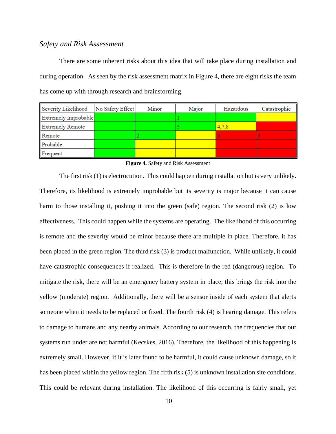### <span id="page-9-0"></span>*Safety and Risk Assessment*

There are some inherent risks about this idea that will take place during installation and during operation. As seen by the risk assessment matrix in Figure 4, there are eight risks the team has come up with through research and brainstorming.

| Severity Likelihood     | No Safety Effect | Minor | Major | Hazardous | Catastrophic |
|-------------------------|------------------|-------|-------|-----------|--------------|
| Extremely Improbable    |                  |       |       |           |              |
| <b>Extremely Remote</b> |                  |       |       | 4,7,8     |              |
| Remote                  |                  |       |       |           |              |
| Probable                |                  |       |       |           |              |
| Frequent                |                  |       |       |           |              |

#### **Figure 4.** Safety and Risk Assessment

The first risk (1) is electrocution. This could happen during installation but is very unlikely. Therefore, its likelihood is extremely improbable but its severity is major because it can cause harm to those installing it, pushing it into the green (safe) region. The second risk (2) is low effectiveness. This could happen while the systems are operating. The likelihood of this occurring is remote and the severity would be minor because there are multiple in place. Therefore, it has been placed in the green region. The third risk (3) is product malfunction. While unlikely, it could have catastrophic consequences if realized. This is therefore in the red (dangerous) region. To mitigate the risk, there will be an emergency battery system in place; this brings the risk into the yellow (moderate) region. Additionally, there will be a sensor inside of each system that alerts someone when it needs to be replaced or fixed. The fourth risk (4) is hearing damage. This refers to damage to humans and any nearby animals. According to our research, the frequencies that our systems run under are not harmful (Kecskes, 2016). Therefore, the likelihood of this happening is extremely small. However, if it is later found to be harmful, it could cause unknown damage, so it has been placed within the yellow region. The fifth risk (5) is unknown installation site conditions. This could be relevant during installation. The likelihood of this occurring is fairly small, yet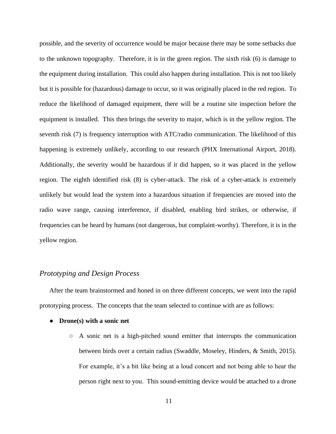possible, and the severity of occurrence would be major because there may be some setbacks due to the unknown topography. Therefore, it is in the green region. The sixth risk (6) is damage to the equipment during installation. This could also happen during installation. This is not too likely but it is possible for (hazardous) damage to occur, so it was originally placed in the red region. To reduce the likelihood of damaged equipment, there will be a routine site inspection before the equipment is installed. This then brings the severity to major, which is in the yellow region. The seventh risk (7) is frequency interruption with ATC/radio communication. The likelihood of this happening is extremely unlikely, according to our research (PHX International Airport, 2018). Additionally, the severity would be hazardous if it did happen, so it was placed in the yellow region. The eighth identified risk (8) is cyber-attack. The risk of a cyber-attack is extremely unlikely but would lead the system into a hazardous situation if frequencies are moved into the radio wave range, causing interference, if disabled, enabling bird strikes, or otherwise, if frequencies can be heard by humans (not dangerous, but complaint-worthy). Therefore, it is in the yellow region.

#### <span id="page-10-0"></span>*Prototyping and Design Process*

After the team brainstormed and honed in on three different concepts, we went into the rapid prototyping process. The concepts that the team selected to continue with are as follows:

- **Drone(s) with a sonic net**
	- $\circ$  A sonic net is a high-pitched sound emitter that interrupts the communication between birds over a certain radius (Swaddle, Moseley, Hinders, & Smith, 2015). For example, it's a bit like being at a loud concert and not being able to hear the person right next to you. This sound-emitting device would be attached to a drone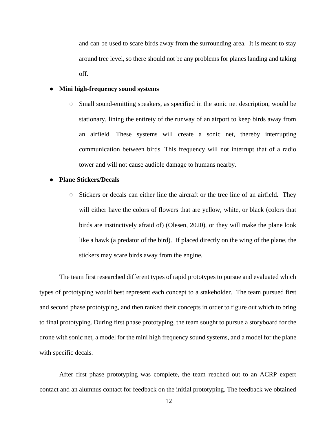and can be used to scare birds away from the surrounding area. It is meant to stay around tree level, so there should not be any problems for planes landing and taking off.

#### ● **Mini high-frequency sound systems**

○ Small sound-emitting speakers, as specified in the sonic net description, would be stationary, lining the entirety of the runway of an airport to keep birds away from an airfield. These systems will create a sonic net, thereby interrupting communication between birds. This frequency will not interrupt that of a radio tower and will not cause audible damage to humans nearby.

#### ● **Plane Stickers/Decals**

○ Stickers or decals can either line the aircraft or the tree line of an airfield. They will either have the colors of flowers that are yellow, white, or black (colors that birds are instinctively afraid of) (Olesen, 2020), or they will make the plane look like a hawk (a predator of the bird). If placed directly on the wing of the plane, the stickers may scare birds away from the engine.

The team first researched different types of rapid prototypes to pursue and evaluated which types of prototyping would best represent each concept to a stakeholder. The team pursued first and second phase prototyping, and then ranked their concepts in order to figure out which to bring to final prototyping. During first phase prototyping, the team sought to pursue a storyboard for the drone with sonic net, a model for the mini high frequency sound systems, and a model for the plane with specific decals.

After first phase prototyping was complete, the team reached out to an ACRP expert contact and an alumnus contact for feedback on the initial prototyping. The feedback we obtained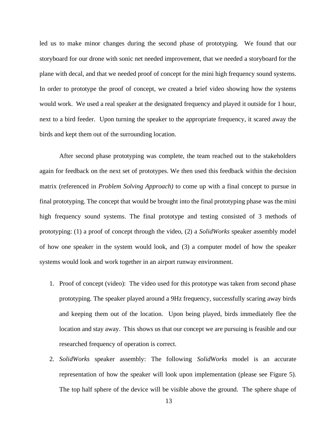led us to make minor changes during the second phase of prototyping. We found that our storyboard for our drone with sonic net needed improvement, that we needed a storyboard for the plane with decal, and that we needed proof of concept for the mini high frequency sound systems. In order to prototype the proof of concept, we created a brief video showing how the systems would work. We used a real speaker at the designated frequency and played it outside for 1 hour, next to a bird feeder. Upon turning the speaker to the appropriate frequency, it scared away the birds and kept them out of the surrounding location.

After second phase prototyping was complete, the team reached out to the stakeholders again for feedback on the next set of prototypes. We then used this feedback within the decision matrix (referenced in *Problem Solving Approach)* to come up with a final concept to pursue in final prototyping. The concept that would be brought into the final prototyping phase was the mini high frequency sound systems. The final prototype and testing consisted of 3 methods of prototyping: (1) a proof of concept through the video, (2) a *SolidWorks* speaker assembly model of how one speaker in the system would look, and (3) a computer model of how the speaker systems would look and work together in an airport runway environment.

- 1. Proof of concept (video): The video used for this prototype was taken from second phase prototyping. The speaker played around a 9Hz frequency, successfully scaring away birds and keeping them out of the location. Upon being played, birds immediately flee the location and stay away. This shows us that our concept we are pursuing is feasible and our researched frequency of operation is correct.
- 2. *SolidWorks* speaker assembly: The following *SolidWorks* model is an accurate representation of how the speaker will look upon implementation (please see Figure 5). The top half sphere of the device will be visible above the ground. The sphere shape of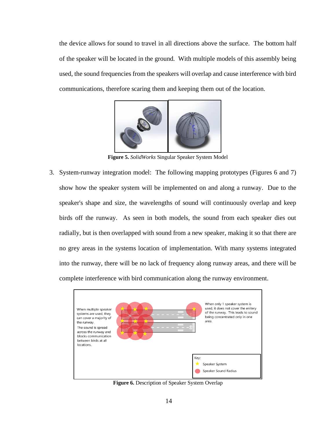the device allows for sound to travel in all directions above the surface. The bottom half of the speaker will be located in the ground. With multiple models of this assembly being used, the sound frequencies from the speakers will overlap and cause interference with bird communications, therefore scaring them and keeping them out of the location.



**Figure 5.** *SolidWorks* Singular Speaker System Model

3. System-runway integration model: The following mapping prototypes (Figures 6 and 7) show how the speaker system will be implemented on and along a runway. Due to the speaker's shape and size, the wavelengths of sound will continuously overlap and keep birds off the runway. As seen in both models, the sound from each speaker dies out radially, but is then overlapped with sound from a new speaker, making it so that there are no grey areas in the systems location of implementation. With many systems integrated into the runway, there will be no lack of frequency along runway areas, and there will be complete interference with bird communication along the runway environment.



**Figure 6.** Description of Speaker System Overlap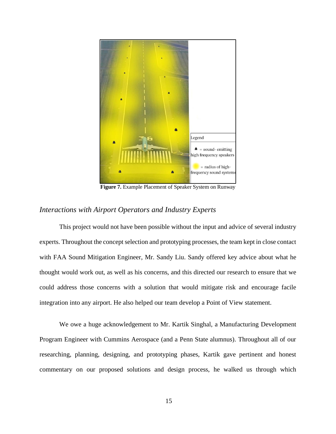

**Figure 7.** Example Placement of Speaker System on Runway

### <span id="page-14-0"></span>*Interactions with Airport Operators and Industry Experts*

This project would not have been possible without the input and advice of several industry experts. Throughout the concept selection and prototyping processes, the team kept in close contact with FAA Sound Mitigation Engineer, Mr. Sandy Liu. Sandy offered key advice about what he thought would work out, as well as his concerns, and this directed our research to ensure that we could address those concerns with a solution that would mitigate risk and encourage facile integration into any airport. He also helped our team develop a Point of View statement.

We owe a huge acknowledgement to Mr. Kartik Singhal, a Manufacturing Development Program Engineer with Cummins Aerospace (and a Penn State alumnus). Throughout all of our researching, planning, designing, and prototyping phases, Kartik gave pertinent and honest commentary on our proposed solutions and design process, he walked us through which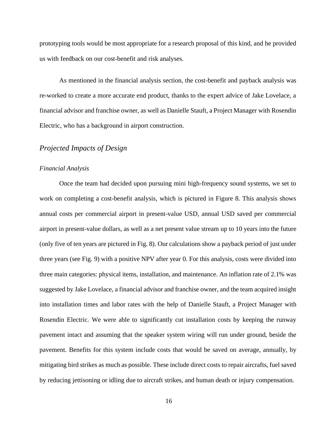prototyping tools would be most appropriate for a research proposal of this kind, and he provided us with feedback on our cost-benefit and risk analyses.

As mentioned in the financial analysis section, the cost-benefit and payback analysis was re-worked to create a more accurate end product, thanks to the expert advice of Jake Lovelace, a financial advisor and franchise owner, as well as Danielle Stauft, a Project Manager with Rosendin Electric, who has a background in airport construction.

## <span id="page-15-0"></span>*Projected Impacts of Design*

#### <span id="page-15-1"></span>*Financial Analysis*

Once the team had decided upon pursuing mini high-frequency sound systems, we set to work on completing a cost-benefit analysis, which is pictured in Figure 8. This analysis shows annual costs per commercial airport in present-value USD, annual USD saved per commercial airport in present-value dollars, as well as a net present value stream up to 10 years into the future (only five of ten years are pictured in Fig. 8). Our calculations show a payback period of just under three years (see Fig. 9) with a positive NPV after year 0. For this analysis, costs were divided into three main categories: physical items, installation, and maintenance. An inflation rate of 2.1% was suggested by Jake Lovelace, a financial advisor and franchise owner, and the team acquired insight into installation times and labor rates with the help of Danielle Stauft, a Project Manager with Rosendin Electric. We were able to significantly cut installation costs by keeping the runway pavement intact and assuming that the speaker system wiring will run under ground, beside the pavement. Benefits for this system include costs that would be saved on average, annually, by mitigating bird strikes as much as possible. These include direct costs to repair aircrafts, fuel saved by reducing jettisoning or idling due to aircraft strikes, and human death or injury compensation.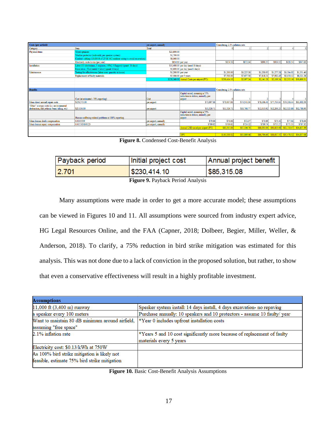| Costs (per airfield)                                                                        |                                                                              | per airport, annually |                                             | Considering 2.1% inflation rate: |                   |             |             |                         |                                                     |
|---------------------------------------------------------------------------------------------|------------------------------------------------------------------------------|-----------------------|---------------------------------------------|----------------------------------|-------------------|-------------|-------------|-------------------------|-----------------------------------------------------|
| Category                                                                                    | Item                                                                         | <b>Total</b>          |                                             |                                  |                   |             |             |                         |                                                     |
| <b>Physical</b> items                                                                       | Wired speakers                                                               | \$23,800.00           |                                             |                                  |                   |             |             |                         |                                                     |
|                                                                                             | Weather protector (indivudal, per speaker system)                            | \$1,700.00            |                                             |                                  |                   |             |             |                         |                                                     |
|                                                                                             | Conduit/ cabling (13,000 ft of UF-B 14/2 outdoor wiring to avoid excavation) | \$8,060.00            |                                             |                                  |                   |             |             |                         |                                                     |
|                                                                                             | Electricity costs to run (per year)                                          |                       | \$854.10 per year                           | \$854.10                         | \$872.04          | \$890.35    | \$909.05    | \$928.14                | \$947.63                                            |
| Installation                                                                                | Labor (10 electricians, 1 engineer, 3 PM, 3 flaggers) (quant: 18 days)       |                       | \$10,400.00 per day (need 18 days)          |                                  |                   |             |             |                         |                                                     |
|                                                                                             | Excavation (Tool rental + labor) (quant: 4 days)                             |                       | \$1,600.00 per day (need 4 days)            |                                  |                   |             |             |                         |                                                     |
| Maintanence                                                                                 | Testing for effectiveness (labor cost- quantity in hours)                    | \$1,200.00 per year   |                                             | \$1,200.00                       | \$1,225.20        | \$1,250.93  | \$1,277.20  | \$1,304.02              | \$1,331.40                                          |
|                                                                                             | Replacement of faulty materials                                              |                       | \$7,500.00 per 5 years                      | \$7,500.00                       | \$7,657.50        | \$7,818.31  | \$7,982.49  | \$8,150.12              | \$8,321.28                                          |
|                                                                                             |                                                                              |                       | \$228,360.00 Annual Costs per airport (PV): | \$230,414.10                     | \$2,097.24        | \$2,141.28  | \$2,186.24  | \$2,232.16              | \$10,600.31                                         |
|                                                                                             |                                                                              |                       |                                             |                                  |                   |             |             |                         |                                                     |
|                                                                                             |                                                                              |                       |                                             |                                  |                   |             |             |                         |                                                     |
| <b>Benefits</b>                                                                             |                                                                              |                       |                                             | Considering 2.1% inflation rate: |                   |             |             |                         |                                                     |
|                                                                                             |                                                                              |                       | Capital saved, assuming a 75%               |                                  |                   |             |             |                         |                                                     |
|                                                                                             |                                                                              |                       | reduction in strikes, annually, per         |                                  |                   |             |             |                         |                                                     |
|                                                                                             | Cost (at estimated ~78% reporting)                                           | Unit                  | airport                                     |                                  |                   |             |             |                         |                                                     |
| Mean direct aircraft repair costs                                                           | \$158,573.00                                                                 | per airport           | \$73,007.88                                 | \$73,007.88                      | \$74,541.04       | \$76,106.40 | \$77,704.64 | \$79,336.44             | \$81,002.50                                         |
| "Other" average costs (i.e. environmental<br>destruction, fuel jettison/ burn/ idling, etc) | \$25,036.00                                                                  | per airport           | \$11,526.71                                 | \$11.526.71                      | \$11,768.77       | \$12.015.92 |             | \$12,268.25 \$12,525.88 | \$12,788.93                                         |
|                                                                                             |                                                                              |                       | Capital saved, assuming a 75%               |                                  |                   |             |             |                         |                                                     |
|                                                                                             |                                                                              |                       | reduction in strikes, annually, per         |                                  |                   |             |             |                         |                                                     |
|                                                                                             | Human wellbeing-related problems at 100% reporting                           |                       | airport                                     |                                  |                   |             |             |                         |                                                     |
| Mean human death compensation                                                               | 0.0005559                                                                    | per airport, annually | \$70.88                                     | \$70.88                          | \$72.37           | \$73.89     | \$75.44     | \$77.02                 | \$78.64                                             |
| Mean human injury compensation                                                              | 0.005565636123                                                               | per airport, annually | \$709.62                                    | \$709.62                         | \$724.52          | \$739.74    | \$755.27    | \$771.13                | \$787.32                                            |
|                                                                                             |                                                                              |                       | Annual USD saved per airport (PV)           | \$85,315.08                      | \$87,106.70       | \$88,935.94 | \$90,803.60 | \$92,710.47             | \$94,657.39                                         |
|                                                                                             |                                                                              |                       |                                             |                                  |                   |             |             |                         |                                                     |
|                                                                                             |                                                                              |                       | <b>MDV</b>                                  | \$1.45,000.00                    | <b>ROS 000 46</b> |             |             |                         | $\cos 704.66$ $\cos 617.25$ $\cos 479.22$ $\cos 22$ |

**Figure 8.** Condensed Cost-Benefit Analysis

| Payback period | Initial project cost | Annual project benefit |
|----------------|----------------------|------------------------|
| 2.701          | \$230,414.10         | \$85,315.08            |

**Figure 9.** Payback Period Analysis

Many assumptions were made in order to get a more accurate model; these assumptions can be viewed in Figures 10 and 11. All assumptions were sourced from industry expert advice, HG Legal Resources Online, and the FAA (Capner, 2018; Dolbeer, Begier, Miller, Weller, & Anderson, 2018). To clarify, a 75% reduction in bird strike mitigation was estimated for this analysis. This was not done due to a lack of conviction in the proposed solution, but rather, to show that even a conservative effectiveness will result in a highly profitable investment.

| Speaker system install: 14 days install, 4 days excavation- no repaving   |
|---------------------------------------------------------------------------|
| Purchase annually: 10 speakers and 10 protectors - assume 10 faulty/ year |
| *Year 0 includes upfront installation costs                               |
|                                                                           |
| *Years 5 and 10 cost significantly more because of replacement of faulty  |
| materials every 5 years                                                   |
|                                                                           |
|                                                                           |
|                                                                           |
|                                                                           |

**Figure 10.** Basic Cost-Benefit Analysis Assumptions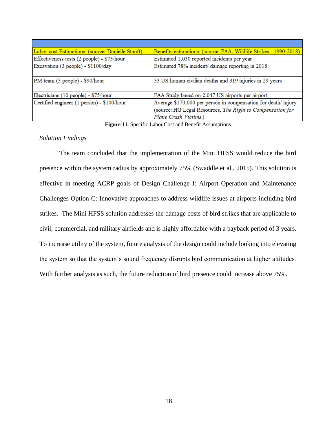| Labor cost Estimations: (source: Danielle Stauft) | Benefits estimations: (source: FAA, Wildlife Strikes1990-2018)                                                                                       |
|---------------------------------------------------|------------------------------------------------------------------------------------------------------------------------------------------------------|
| Effectiveness tests (2 people) - \$75/hour        | Estimated 1,030 reported incidents per year                                                                                                          |
| Excavation (3 people) - \$1100/day                | Estimated 78% incident/ damage reporting in 2018                                                                                                     |
| PM team (3 people) - \$90/hour                    | 33 US human civilian deaths and 319 injuries in 29 years                                                                                             |
| Electricians (10 people) - \$75/hour              | FAA Study based on 2,047 US airports per airport                                                                                                     |
| Certified engineer (1 person) - \$100/hour        | Average \$170,000 per person in compensation for death/ injury<br>(source: HG Legal Resources, The Right to Compensation for<br>Plane Crash Victims) |

**Figure 11.** Specific Labor Cost and Benefit Assumptions

#### <span id="page-17-0"></span>*Solution Findings*

The team concluded that the implementation of the Mini HFSS would reduce the bird presence within the system radius by approximately 75% (Swaddle et al., 2015). This solution is effective in meeting ACRP goals of Design Challenge I: Airport Operation and Maintenance Challenges Option C: Innovative approaches to address wildlife issues at airports including bird strikes. The Mini HFSS solution addresses the damage costs of bird strikes that are applicable to civil, commercial, and military airfields and is highly affordable with a payback period of 3 years. To increase utility of the system, future analysis of the design could include looking into elevating the system so that the system's sound frequency disrupts bird communication at higher altitudes. With further analysis as such, the future reduction of bird presence could increase above 75%.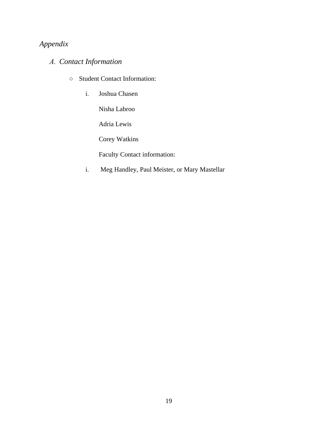# <span id="page-18-0"></span>*Appendix*

# <span id="page-18-1"></span>*A. Contact Information*

- Student Contact Information:
	- i. Joshua Chasen

Nisha Labroo

Adria Lewis

Corey Watkins

Faculty Contact information:

i. Meg Handley, Paul Meister, or Mary Mastellar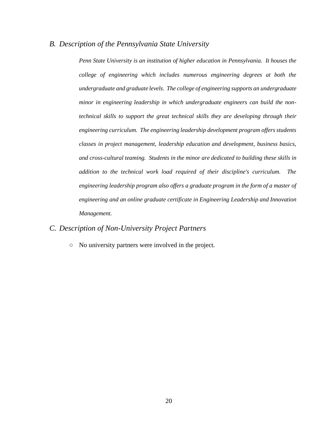#### <span id="page-19-0"></span>*B. Description of the Pennsylvania State University*

*Penn State University is an institution of higher education in Pennsylvania. It houses the college of engineering which includes numerous engineering degrees at both the undergraduate and graduate levels. The college of engineering supports an undergraduate minor in engineering leadership in which undergraduate engineers can build the nontechnical skills to support the great technical skills they are developing through their engineering curriculum. The engineering leadership development program offers students classes in project management, leadership education and development, business basics, and cross-cultural teaming. Students in the minor are dedicated to building these skills in addition to the technical work load required of their discipline's curriculum. The engineering leadership program also offers a graduate program in the form of a master of engineering and an online graduate certificate in Engineering Leadership and Innovation Management.* 

## <span id="page-19-1"></span>*C. Description of Non-University Project Partners*

○ No university partners were involved in the project.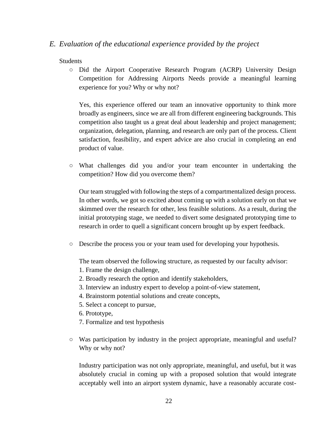## <span id="page-20-0"></span>*E. Evaluation of the educational experience provided by the project*

#### Students

○ Did the Airport Cooperative Research Program (ACRP) University Design Competition for Addressing Airports Needs provide a meaningful learning experience for you? Why or why not?

Yes, this experience offered our team an innovative opportunity to think more broadly as engineers, since we are all from different engineering backgrounds. This competition also taught us a great deal about leadership and project management; organization, delegation, planning, and research are only part of the process. Client satisfaction, feasibility, and expert advice are also crucial in completing an end product of value.

○ What challenges did you and/or your team encounter in undertaking the competition? How did you overcome them?

Our team struggled with following the steps of a compartmentalized design process. In other words, we got so excited about coming up with a solution early on that we skimmed over the research for other, less feasible solutions. As a result, during the initial prototyping stage, we needed to divert some designated prototyping time to research in order to quell a significant concern brought up by expert feedback.

○ Describe the process you or your team used for developing your hypothesis.

The team observed the following structure, as requested by our faculty advisor:

- 1. Frame the design challenge,
- 2. Broadly research the option and identify stakeholders,
- 3. Interview an industry expert to develop a point-of-view statement,
- 4. Brainstorm potential solutions and create concepts,
- 5. Select a concept to pursue,
- 6. Prototype,
- 7. Formalize and test hypothesis
- Was participation by industry in the project appropriate, meaningful and useful? Why or why not?

Industry participation was not only appropriate, meaningful, and useful, but it was absolutely crucial in coming up with a proposed solution that would integrate acceptably well into an airport system dynamic, have a reasonably accurate cost-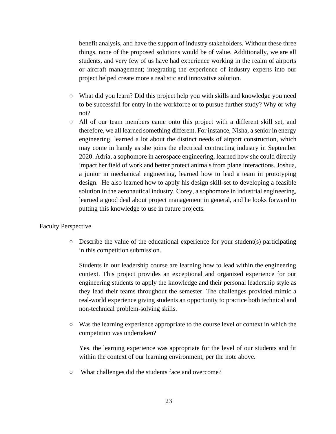benefit analysis, and have the support of industry stakeholders. Without these three things, none of the proposed solutions would be of value. Additionally, we are all students, and very few of us have had experience working in the realm of airports or aircraft management; integrating the experience of industry experts into our project helped create more a realistic and innovative solution.

- What did you learn? Did this project help you with skills and knowledge you need to be successful for entry in the workforce or to pursue further study? Why or why not?
- All of our team members came onto this project with a different skill set, and therefore, we all learned something different. For instance, Nisha, a senior in energy engineering, learned a lot about the distinct needs of airport construction, which may come in handy as she joins the electrical contracting industry in September 2020. Adria, a sophomore in aerospace engineering, learned how she could directly impact her field of work and better protect animals from plane interactions. Joshua, a junior in mechanical engineering, learned how to lead a team in prototyping design. He also learned how to apply his design skill-set to developing a feasible solution in the aeronautical industry. Corey, a sophomore in industrial engineering, learned a good deal about project management in general, and he looks forward to putting this knowledge to use in future projects.

#### Faculty Perspective

○ Describe the value of the educational experience for your student(s) participating in this competition submission.

Students in our leadership course are learning how to lead within the engineering context. This project provides an exceptional and organized experience for our engineering students to apply the knowledge and their personal leadership style as they lead their teams throughout the semester. The challenges provided mimic a real-world experience giving students an opportunity to practice both technical and non-technical problem-solving skills.

○ Was the learning experience appropriate to the course level or context in which the competition was undertaken?

Yes, the learning experience was appropriate for the level of our students and fit within the context of our learning environment, per the note above.

○ What challenges did the students face and overcome?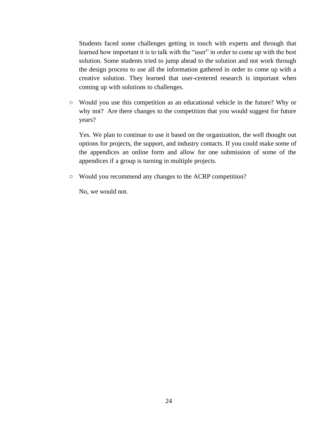Students faced some challenges getting in touch with experts and through that learned how important it is to talk with the "user" in order to come up with the best solution. Some students tried to jump ahead to the solution and not work through the design process to use all the information gathered in order to come up with a creative solution. They learned that user-centered research is important when coming up with solutions to challenges.

○ Would you use this competition as an educational vehicle in the future? Why or why not? Are there changes to the competition that you would suggest for future years?

Yes. We plan to continue to use it based on the organization, the well thought out options for projects, the support, and industry contacts. If you could make some of the appendices an online form and allow for one submission of some of the appendices if a group is turning in multiple projects.

<span id="page-22-0"></span>○ Would you recommend any changes to the ACRP competition?

No, we would not.